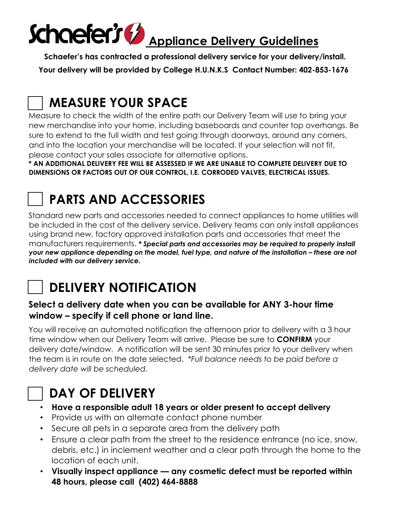# Schaefer's performal Applique de Delivery Guidelines

**Schaefer's has contracted a professional delivery service for your delivery/install. Your delivery will be provided by College H.U.N.K.S Contact Number: 402-853-1676**

# **MEASURE YOUR SPACE**

Measure to check the width of the entire path our Delivery Team will use to bring your new merchandise into your home, including baseboards and counter top overhangs. Be sure to extend to the full width and test going through doorways, around any corners, and into the location your merchandise will be located. If your selection will not fit, please contact your sales associate for alternative options.

**\* AN ADDITIONAL DELIVERY FEE WILL BE ASSESSED IF WE ARE UNABLE TO COMPLETE DELIVERY DUE TO DIMENSIONS OR FACTORS OUT OF OUR CONTROL, I.E. CORRODED VALVES, ELECTRICAL ISSUES.**

# **PARTS AND ACCESSORIES**

Standard new parts and accessories needed to connect appliances to home utilities will be included in the cost of the delivery service. Delivery teams can only install appliances using brand new, factory approved installation parts and accessories that meet the manufacturers requirements. *\* Special parts and accessories may be required to properly install your new appliance depending on the model, fuel type, and nature of the installation – these are not included with our delivery service.*



## **DELIVERY NOTIFICATION**

#### **Select a delivery date when you can be available for ANY 3-hour time window – specify if cell phone or land line.**

You will receive an automated notification the afternoon prior to delivery with a 3 hour time window when our Delivery Team will arrive. Please be sure to **CONFIRM** your delivery date/window. A notification will be sent 30 minutes prior to your delivery when the team is in route on the date selected. *\*Full balance needs to be paid before a delivery date will be scheduled.*



#### **DAY OF DELIVERY**

- **Have a responsible adult 18 years or older present to accept delivery**
- Provide us with an alternate contact phone number
- Secure all pets in a separate area from the delivery path
- Ensure a clear path from the street to the residence entrance (no ice, snow, debris, etc.) in inclement weather and a clear path through the home to the location of each unit.
- **Visually inspect appliance — any cosmetic defect must be reported within 48 hours, please call (402) 464-8888**